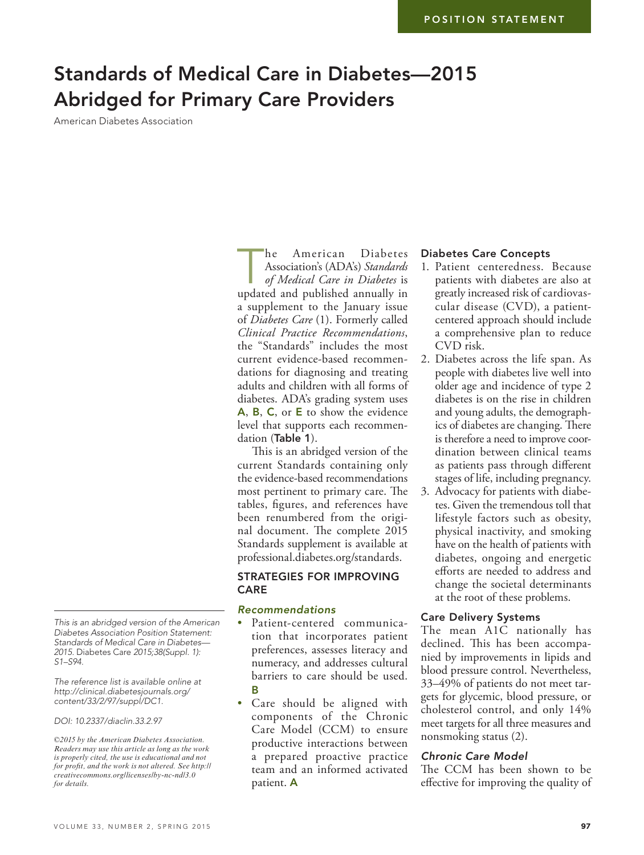# Standards of Medical Care in Diabetes—2015 Abridged for Primary Care Providers

American Diabetes Association

**he American Diabetes**<br> *Association's (ADA's) Standards*<br> *of Medical Care in Diabetes* is<br>
undated and published annually in Association's (ADA's) *Standards*  updated and published annually in a supplement to the January issue of *Diabetes Care* (1). Formerly called *Clinical Practice Recommendations*, the "Standards" includes the most current evidence-based recommendations for diagnosing and treating adults and children with all forms of diabetes. ADA's grading system uses A, B, C, or E to show the evidence level that supports each recommendation (Table 1).

This is an abridged version of the current Standards containing only the evidence-based recommendations most pertinent to primary care. The tables, figures, and references have been renumbered from the original document. The complete 2015 Standards supplement is available at professional.diabetes.org/standards.

## STRATEGIES FOR IMPROVING CARE

## *Recommendations*

- Patient-centered communication that incorporates patient preferences, assesses literacy and numeracy, and addresses cultural barriers to care should be used. B
- Care should be aligned with components of the Chronic Care Model (CCM) to ensure productive interactions between a prepared proactive practice team and an informed activated patient. A

#### Diabetes Care Concepts

- 1. Patient centeredness. Because patients with diabetes are also at greatly increased risk of cardiovascular disease (CVD), a patientcentered approach should include a comprehensive plan to reduce CVD risk.
- 2. Diabetes across the life span. As people with diabetes live well into older age and incidence of type 2 diabetes is on the rise in children and young adults, the demographics of diabetes are changing. There is therefore a need to improve coordination between clinical teams as patients pass through different stages of life, including pregnancy.
- 3. Advocacy for patients with diabetes. Given the tremendous toll that lifestyle factors such as obesity, physical inactivity, and smoking have on the health of patients with diabetes, ongoing and energetic efforts are needed to address and change the societal determinants at the root of these problems.

#### Care Delivery Systems

The mean A1C nationally has declined. This has been accompanied by improvements in lipids and blood pressure control. Nevertheless, 33–49% of patients do not meet targets for glycemic, blood pressure, or cholesterol control, and only 14% meet targets for all three measures and nonsmoking status (2).

#### *Chronic Care Model*

The CCM has been shown to be effective for improving the quality of

*This is an abridged version of the American Diabetes Association Position Statement: Standards of Medical Care in Diabetes— 2015.* Diabetes Care *2015;38(Suppl. 1): S1–S94.*

*The reference list is available online at [http://clinical.diabetesjournals.org/](http://clinical.diabetesjournals.org/content/suppl/2015/04/14/33.2.97.DC1/SOC-REFS.pdf) [content/33/2/97/suppl/DC1.](http://clinical.diabetesjournals.org/content/suppl/2015/04/14/33.2.97.DC1/SOC-REFS.pdf)*

#### *DOI: 10.2337/diaclin.33.2.97*

*©2015 by the American Diabetes Association. Readers may use this article as long as the work is properly cited, the use is educational and not for profit, and the work is not altered. See http:// creativecommons.org/licenses/by-nc-nd/3.0 for details.*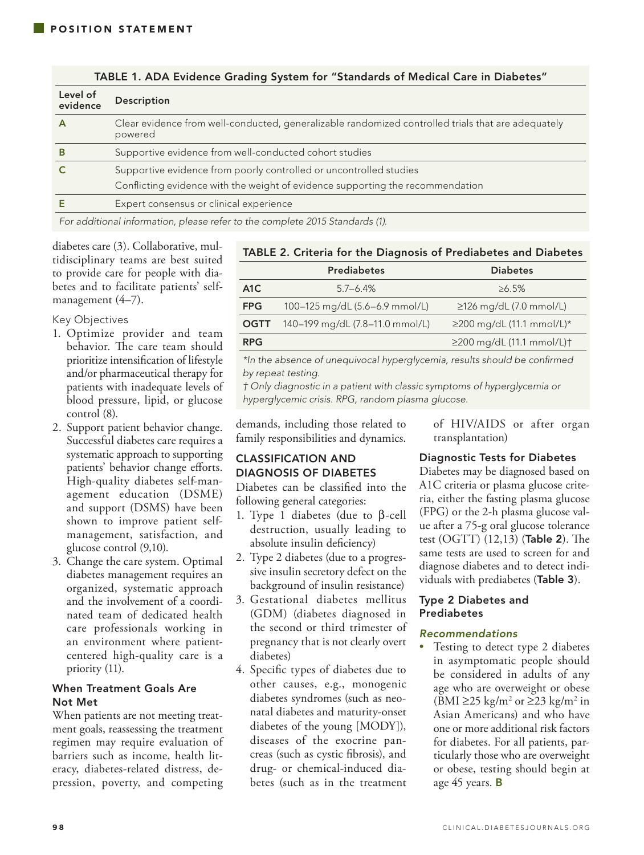| Level of<br>evidence | Description                                                                                                   |  |
|----------------------|---------------------------------------------------------------------------------------------------------------|--|
|                      | Clear evidence from well-conducted, generalizable randomized controlled trials that are adequately<br>powered |  |
| В                    | Supportive evidence from well-conducted cohort studies                                                        |  |
|                      | Supportive evidence from poorly controlled or uncontrolled studies                                            |  |
|                      | Conflicting evidence with the weight of evidence supporting the recommendation                                |  |
|                      | Expert consensus or clinical experience                                                                       |  |

TABLE 1. ADA Evidence Grading System for "Standards of Medical Care in Diabetes"

*For additional information, please refer to the complete 2015 Standards (1).*

diabetes care (3). Collaborative, multidisciplinary teams are best suited to provide care for people with diabetes and to facilitate patients' selfmanagement  $(4-7)$ .

## Key Objectives

- 1. Optimize provider and team behavior. The care team should prioritize intensification of lifestyle and/or pharmaceutical therapy for patients with inadequate levels of blood pressure, lipid, or glucose control (8).
- 2. Support patient behavior change. Successful diabetes care requires a systematic approach to supporting patients' behavior change efforts. High-quality diabetes self-management education (DSME) and support (DSMS) have been shown to improve patient selfmanagement, satisfaction, and glucose control (9,10).
- 3. Change the care system. Optimal diabetes management requires an organized, systematic approach and the involvement of a coordinated team of dedicated health care professionals working in an environment where patientcentered high-quality care is a priority (11).

## When Treatment Goals Are Not Met

When patients are not meeting treatment goals, reassessing the treatment regimen may require evaluation of barriers such as income, health literacy, diabetes-related distress, depression, poverty, and competing

#### TABLE 2. Criteria for the Diagnosis of Prediabetes and Diabetes

|                  | <b>Prediabetes</b>                          | <b>Diabetes</b>               |
|------------------|---------------------------------------------|-------------------------------|
| A <sub>1</sub> C | $57 - 64%$                                  | $>6.5\%$                      |
| <b>FPG</b>       | 100-125 mg/dL (5.6-6.9 mmol/L)              | $\geq$ 126 mg/dL (7.0 mmol/L) |
|                  | <b>OGTT</b> 140-199 mg/dL (7.8-11.0 mmol/L) | $≥200$ mg/dL (11.1 mmol/L)*   |
| <b>RPG</b>       |                                             | ≥200 mg/dL (11.1 mmol/L)†     |

*\*In the absence of unequivocal hyperglycemia, results should be confirmed by repeat testing.* 

*† Only diagnostic in a patient with classic symptoms of hyperglycemia or hyperglycemic crisis. RPG, random plasma glucose.*

demands, including those related to family responsibilities and dynamics.

## CLASSIFICATION AND DIAGNOSIS OF DIABETES

Diabetes can be classified into the following general categories:

- 1. Type 1 diabetes (due to β-cell destruction, usually leading to absolute insulin deficiency)
- 2. Type 2 diabetes (due to a progressive insulin secretory defect on the background of insulin resistance)
- 3. Gestational diabetes mellitus (GDM) (diabetes diagnosed in the second or third trimester of pregnancy that is not clearly overt diabetes)
- 4. Specific types of diabetes due to other causes, e.g., monogenic diabetes syndromes (such as neonatal diabetes and maturity-onset diabetes of the young [MODY]), diseases of the exocrine pancreas (such as cystic fibrosis), and drug- or chemical-induced diabetes (such as in the treatment

of HIV/AIDS or after organ transplantation)

## Diagnostic Tests for Diabetes

Diabetes may be diagnosed based on A1C criteria or plasma glucose criteria, either the fasting plasma glucose (FPG) or the 2-h plasma glucose value after a 75-g oral glucose tolerance test (OGTT) (12,13) (Table 2). The same tests are used to screen for and diagnose diabetes and to detect individuals with prediabetes (Table 3).

## Type 2 Diabetes and Prediabetes

## *Recommendations*

Testing to detect type 2 diabetes in asymptomatic people should be considered in adults of any age who are overweight or obese (BMI ≥25 kg/m<sup>2</sup> or ≥23 kg/m<sup>2</sup> in Asian Americans) and who have one or more additional risk factors for diabetes. For all patients, particularly those who are overweight or obese, testing should begin at age 45 years. B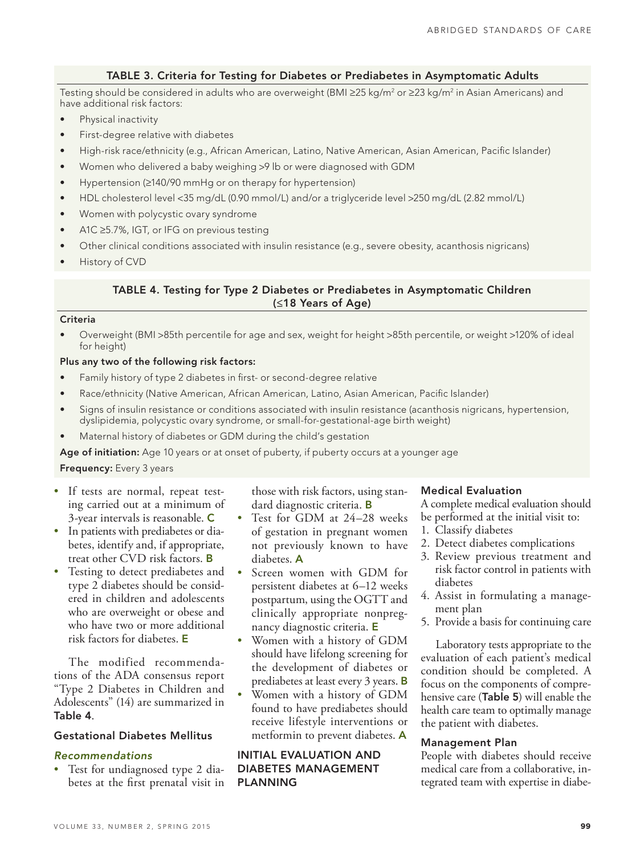## TABLE 3. Criteria for Testing for Diabetes or Prediabetes in Asymptomatic Adults

Testing should be considered in adults who are overweight (BMI ≥25 kg/m² or ≥23 kg/m² in Asian Americans) and have additional risk factors:

- Physical inactivity
- • First-degree relative with diabetes
- High-risk race/ethnicity (e.g., African American, Latino, Native American, Asian American, Pacific Islander)
- Women who delivered a baby weighing >9 lb or were diagnosed with GDM
- Hypertension (≥140/90 mmHg or on therapy for hypertension)
- • HDL cholesterol level <35 mg/dL (0.90 mmol/L) and/or a triglyceride level >250 mg/dL (2.82 mmol/L)
- • Women with polycystic ovary syndrome
- A1C ≥5.7%, IGT, or IFG on previous testing
- Other clinical conditions associated with insulin resistance (e.g., severe obesity, acanthosis nigricans)
- History of CVD

## TABLE 4. Testing for Type 2 Diabetes or Prediabetes in Asymptomatic Children (≤18 Years of Age)

#### Criteria

Overweight (BMI >85th percentile for age and sex, weight for height >85th percentile, or weight >120% of ideal for height)

#### Plus any two of the following risk factors:

- Family history of type 2 diabetes in first- or second-degree relative
- Race/ethnicity (Native American, African American, Latino, Asian American, Pacific Islander)
- Signs of insulin resistance or conditions associated with insulin resistance (acanthosis nigricans, hypertension, dyslipidemia, polycystic ovary syndrome, or small-for-gestational-age birth weight)
- Maternal history of diabetes or GDM during the child's gestation

Age of initiation: Age 10 years or at onset of puberty, if puberty occurs at a younger age

#### Frequency: Every 3 years

- If tests are normal, repeat testing carried out at a minimum of 3-year intervals is reasonable. C
- In patients with prediabetes or diabetes, identify and, if appropriate, treat other CVD risk factors. B
- Testing to detect prediabetes and type 2 diabetes should be considered in children and adolescents who are overweight or obese and who have two or more additional risk factors for diabetes. E

The modified recommendations of the ADA consensus report "Type 2 Diabetes in Children and Adolescents" (14) are summarized in Table 4.

## Gestational Diabetes Mellitus

## *Recommendations*

• Test for undiagnosed type 2 diabetes at the first prenatal visit in those with risk factors, using standard diagnostic criteria. B

- Test for GDM at 24-28 weeks of gestation in pregnant women not previously known to have diabetes. A
- Screen women with GDM for persistent diabetes at 6–12 weeks postpartum, using the OGTT and clinically appropriate nonpregnancy diagnostic criteria. E
- • Women with a history of GDM should have lifelong screening for the development of diabetes or prediabetes at least every 3 years. **B**
- Women with a history of GDM found to have prediabetes should receive lifestyle interventions or metformin to prevent diabetes. A

## INITIAL EVALUATION AND DIABETES MANAGEMENT PLANNING

#### Medical Evaluation

A complete medical evaluation should be performed at the initial visit to:

- 1. Classify diabetes
- 2. Detect diabetes complications
- 3. Review previous treatment and risk factor control in patients with diabetes
- 4. Assist in formulating a management plan
- 5. Provide a basis for continuing care

Laboratory tests appropriate to the evaluation of each patient's medical condition should be completed. A focus on the components of comprehensive care (Table 5) will enable the health care team to optimally manage the patient with diabetes.

#### Management Plan

People with diabetes should receive medical care from a collaborative, integrated team with expertise in diabe-